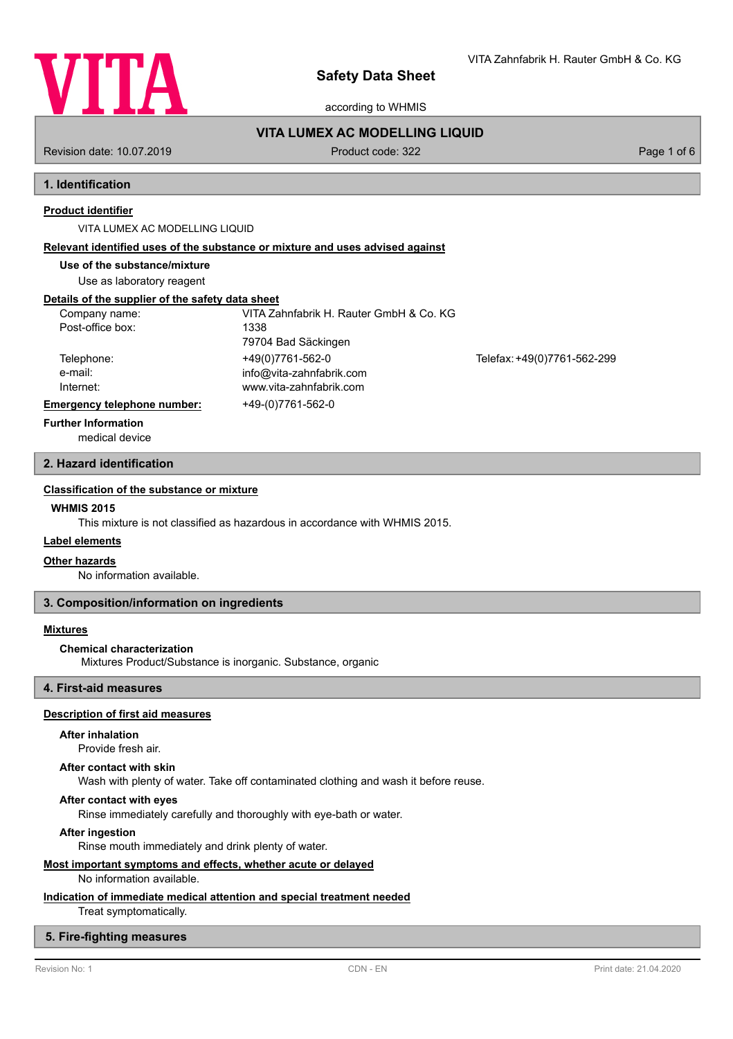

according to WHMIS

# **VITA LUMEX AC MODELLING LIQUID**

Revision date: 10.07.2019 **Product code: 322** Page 1 of 6

# **1. Identification**

## **Product identifier**

## VITA LUMEX AC MODELLING LIQUID

### **Relevant identified uses of the substance or mixture and uses advised against**

**Use of the substance/mixture**

Use as laboratory reagent

## **Details of the supplier of the safety data sheet**

| Company name:               | VITA Zahnfabrik H. Rauter GmbH & Co. KG |                             |
|-----------------------------|-----------------------------------------|-----------------------------|
| Post-office box:            | 1338                                    |                             |
|                             | 79704 Bad Säckingen                     |                             |
| Telephone:                  | +49(0)7761-562-0                        | Telefax: +49(0)7761-562-299 |
| e-mail:                     | info@vita-zahnfabrik.com                |                             |
| Internet:                   | www.vita-zahnfabrik.com                 |                             |
| Emergency telephone number: | +49-(0)7761-562-0                       |                             |
| Eurthor Information         |                                         |                             |

**Further Information**

# medical device

# **2. Hazard identification**

## **Classification of the substance or mixture**

## **WHMIS 2015**

This mixture is not classified as hazardous in accordance with WHMIS 2015.

## **Label elements**

#### **Other hazards**

No information available.

## **3. Composition/information on ingredients**

### **Mixtures**

### **Chemical characterization**

Mixtures Product/Substance is inorganic. Substance, organic

## **4. First-aid measures**

## **Description of first aid measures**

## **After inhalation**

Provide fresh air.

#### **After contact with skin**

Wash with plenty of water. Take off contaminated clothing and wash it before reuse.

## **After contact with eyes**

Rinse immediately carefully and thoroughly with eye-bath or water.

### **After ingestion**

Rinse mouth immediately and drink plenty of water.

## **Most important symptoms and effects, whether acute or delayed**

No information available.

# **Indication of immediate medical attention and special treatment needed**

Treat symptomatically.

## **5. Fire-fighting measures**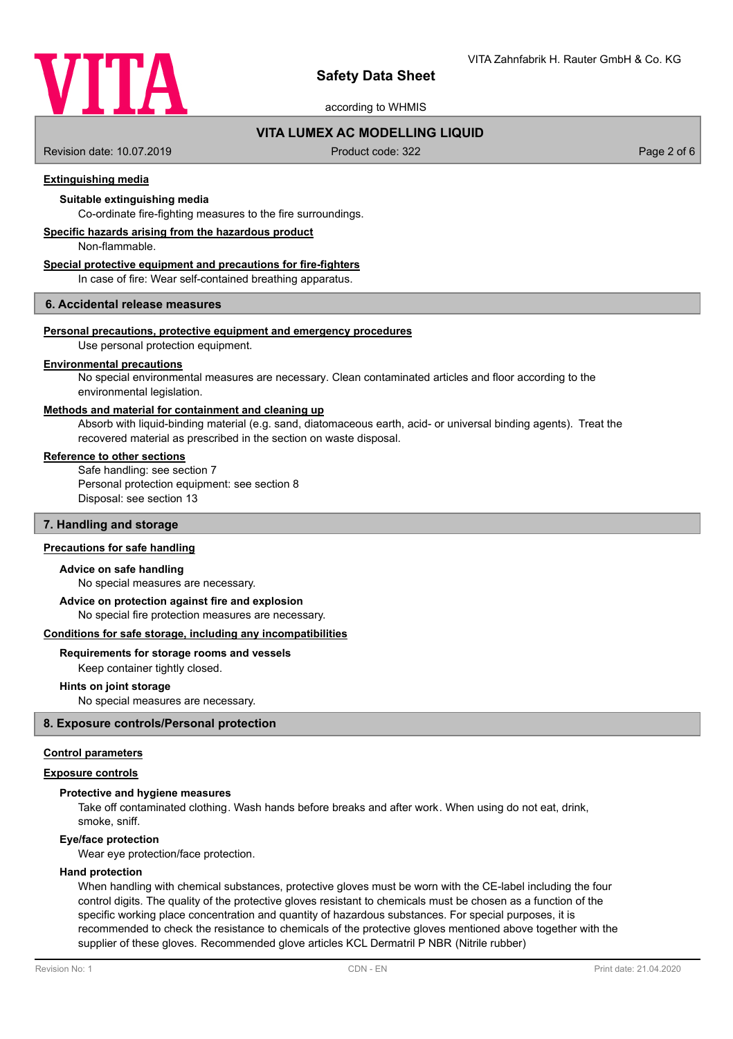

according to WHMIS

# **VITA LUMEX AC MODELLING LIQUID**

Revision date: 10.07.2019 **Product code: 322** Page 2 of 6

## **Extinguishing media**

## **Suitable extinguishing media**

Co-ordinate fire-fighting measures to the fire surroundings.

## **Specific hazards arising from the hazardous product**

Non-flammable.

### **Special protective equipment and precautions for fire-fighters**

In case of fire: Wear self-contained breathing apparatus.

## **6. Accidental release measures**

## **Personal precautions, protective equipment and emergency procedures**

Use personal protection equipment.

### **Environmental precautions**

No special environmental measures are necessary. Clean contaminated articles and floor according to the environmental legislation.

## **Methods and material for containment and cleaning up**

Absorb with liquid-binding material (e.g. sand, diatomaceous earth, acid- or universal binding agents). Treat the recovered material as prescribed in the section on waste disposal.

### **Reference to other sections**

Safe handling: see section 7 Personal protection equipment: see section 8 Disposal: see section 13

# **7. Handling and storage**

### **Precautions for safe handling**

#### **Advice on safe handling**

No special measures are necessary.

## **Advice on protection against fire and explosion**

No special fire protection measures are necessary.

### **Conditions for safe storage, including any incompatibilities**

#### **Requirements for storage rooms and vessels**

Keep container tightly closed.

### **Hints on joint storage**

No special measures are necessary.

### **8. Exposure controls/Personal protection**

### **Control parameters**

## **Exposure controls**

## **Protective and hygiene measures**

Take off contaminated clothing. Wash hands before breaks and after work. When using do not eat, drink, smoke, sniff.

#### **Eye/face protection**

Wear eye protection/face protection.

### **Hand protection**

When handling with chemical substances, protective gloves must be worn with the CE-label including the four control digits. The quality of the protective gloves resistant to chemicals must be chosen as a function of the specific working place concentration and quantity of hazardous substances. For special purposes, it is recommended to check the resistance to chemicals of the protective gloves mentioned above together with the supplier of these gloves. Recommended glove articles KCL Dermatril P NBR (Nitrile rubber)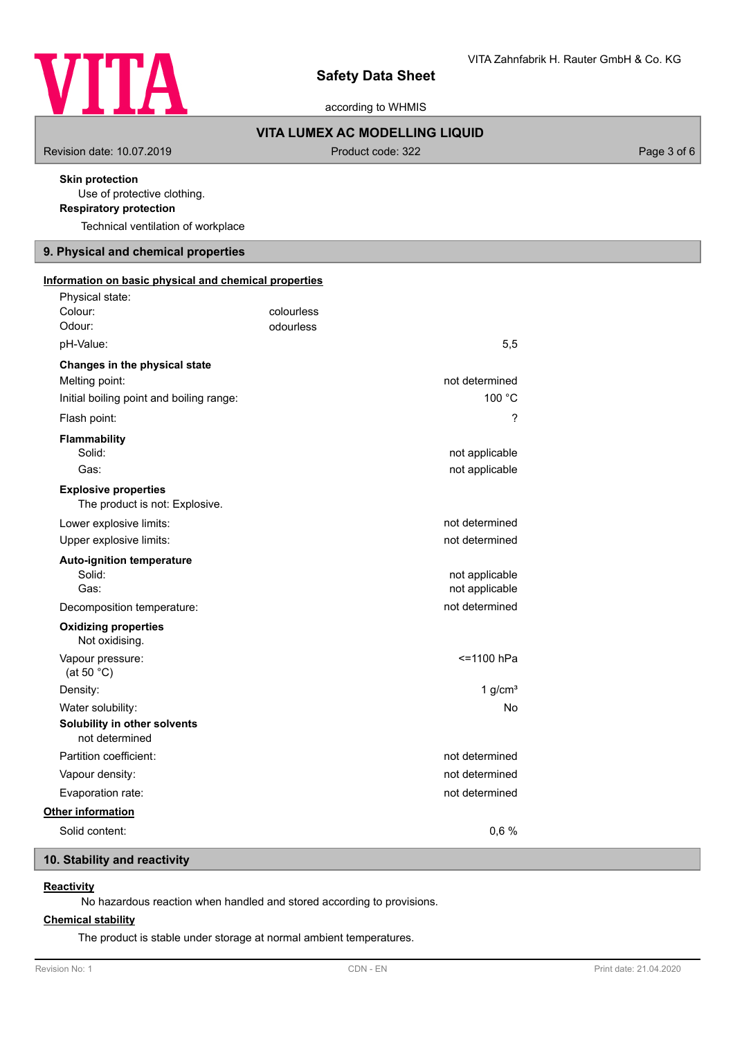

according to WHMIS

# **VITA LUMEX AC MODELLING LIQUID**

Revision date: 10.07.2019 **Product code: 322** Product code: 322 Page 3 of 6

# **Skin protection**

Use of protective clothing.

**Respiratory protection**

Technical ventilation of workplace

# **9. Physical and chemical properties**

| Information on basic physical and chemical properties<br>Physical state: |            |                |
|--------------------------------------------------------------------------|------------|----------------|
| Colour:                                                                  | colourless |                |
| Odour:                                                                   | odourless  |                |
| pH-Value:                                                                |            | 5,5            |
| Changes in the physical state                                            |            |                |
| Melting point:                                                           |            | not determined |
| Initial boiling point and boiling range:                                 |            | 100 °C         |
| Flash point:                                                             |            | ?              |
| <b>Flammability</b>                                                      |            |                |
| Solid:                                                                   |            | not applicable |
| Gas:                                                                     |            | not applicable |
| <b>Explosive properties</b><br>The product is not: Explosive.            |            |                |
| Lower explosive limits:                                                  |            | not determined |
| Upper explosive limits:                                                  |            | not determined |
| <b>Auto-ignition temperature</b>                                         |            |                |
| Solid:                                                                   |            | not applicable |
| Gas:                                                                     |            | not applicable |
| Decomposition temperature:                                               |            | not determined |
| <b>Oxidizing properties</b><br>Not oxidising.                            |            |                |
| Vapour pressure:<br>(at 50 $^{\circ}$ C)                                 |            | <=1100 hPa     |
| Density:                                                                 |            | 1 $g/cm3$      |
| Water solubility:                                                        |            | <b>No</b>      |
| Solubility in other solvents<br>not determined                           |            |                |
| Partition coefficient:                                                   |            | not determined |
| Vapour density:                                                          |            | not determined |
| Evaporation rate:                                                        |            | not determined |
| Other information                                                        |            |                |
| Solid content:                                                           |            | 0,6%           |

# **10. Stability and reactivity**

# **Reactivity**

No hazardous reaction when handled and stored according to provisions.

## **Chemical stability**

The product is stable under storage at normal ambient temperatures.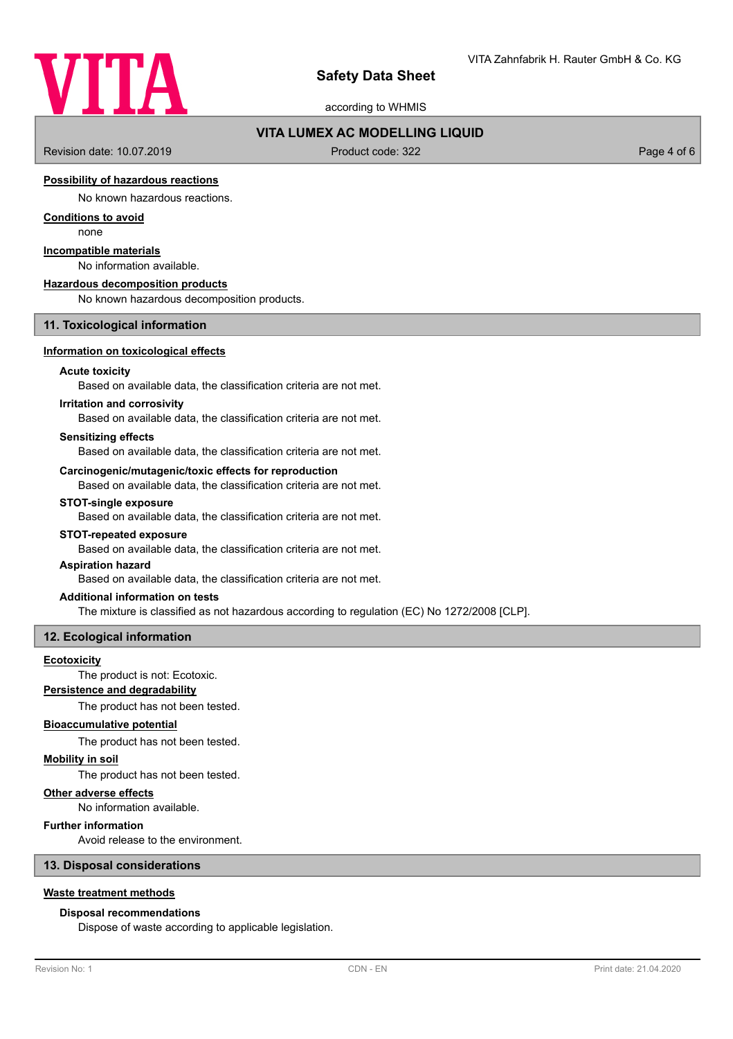

according to WHMIS

## **VITA LUMEX AC MODELLING LIQUID**

Revision date: 10.07.2019 **Product code: 322** Page 4 of 6

## **Possibility of hazardous reactions**

No known hazardous reactions.

## **Conditions to avoid**

none

# **Incompatible materials**

No information available.

#### **Hazardous decomposition products**

No known hazardous decomposition products.

### **11. Toxicological information**

### **Information on toxicological effects**

### **Acute toxicity**

Based on available data, the classification criteria are not met.

## **Irritation and corrosivity**

Based on available data, the classification criteria are not met.

### **Sensitizing effects**

Based on available data, the classification criteria are not met.

### **Carcinogenic/mutagenic/toxic effects for reproduction**

Based on available data, the classification criteria are not met.

### **STOT-single exposure**

Based on available data, the classification criteria are not met.

### **STOT-repeated exposure**

Based on available data, the classification criteria are not met.

## **Aspiration hazard**

Based on available data, the classification criteria are not met.

### **Additional information on tests**

The mixture is classified as not hazardous according to regulation (EC) No 1272/2008 [CLP].

### **12. Ecological information**

#### **Ecotoxicity**

The product is not: Ecotoxic.

# **Persistence and degradability**

The product has not been tested.

### **Bioaccumulative potential**

The product has not been tested.

### **Mobility in soil**

The product has not been tested.

## **Other adverse effects**

No information available.

## **Further information**

Avoid release to the environment.

### **13. Disposal considerations**

### **Waste treatment methods**

### **Disposal recommendations**

Dispose of waste according to applicable legislation.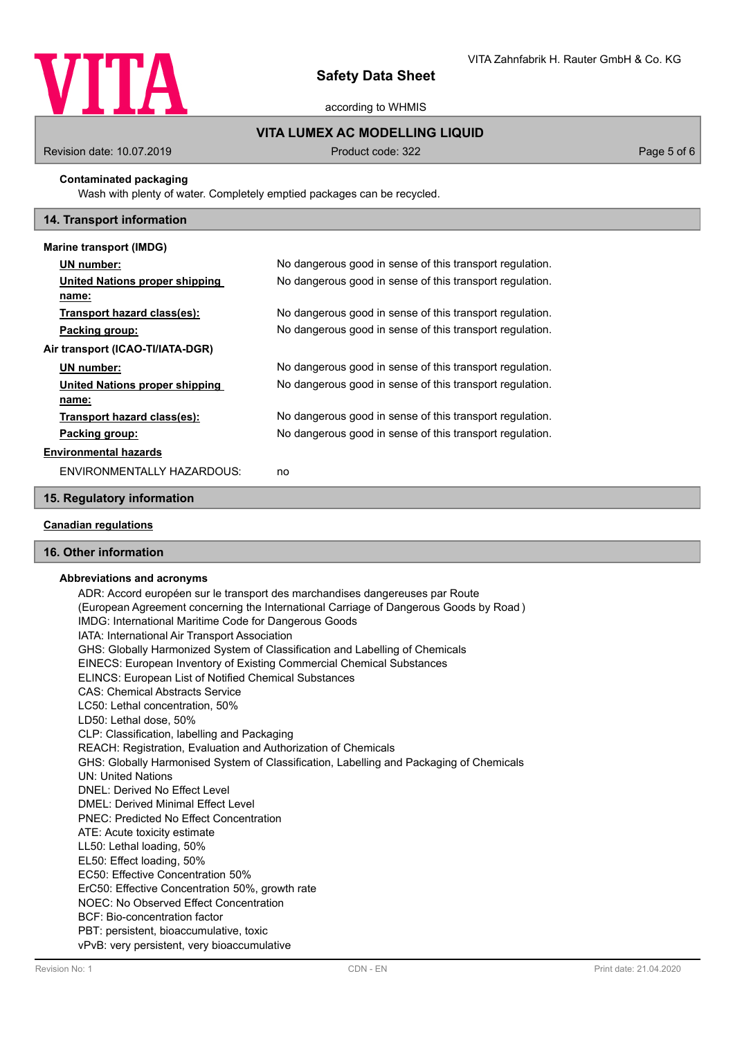

according to WHMIS

# **VITA LUMEX AC MODELLING LIQUID**

Revision date: 10.07.2019 **Product code: 322** Page 5 of 6

## **Contaminated packaging**

Wash with plenty of water. Completely emptied packages can be recycled.

## **14. Transport information**

| Marine transport (IMDG)          |                                                          |
|----------------------------------|----------------------------------------------------------|
| UN number:                       | No dangerous good in sense of this transport regulation. |
| United Nations proper shipping   | No dangerous good in sense of this transport regulation. |
| name:                            |                                                          |
| Transport hazard class(es):      | No dangerous good in sense of this transport regulation. |
| Packing group:                   | No dangerous good in sense of this transport regulation. |
| Air transport (ICAO-TI/IATA-DGR) |                                                          |
| UN number:                       | No dangerous good in sense of this transport regulation. |
| United Nations proper shipping   | No dangerous good in sense of this transport regulation. |
| name:                            |                                                          |
| Transport hazard class(es):      | No dangerous good in sense of this transport regulation. |
| Packing group:                   | No dangerous good in sense of this transport regulation. |
| <b>Environmental hazards</b>     |                                                          |
| ENVIRONMENTALLY HAZARDOUS:       | no                                                       |

# **15. Regulatory information**

# **Canadian regulations**

## **16. Other information**

### **Abbreviations and acronyms**

ADR: Accord européen sur le transport des marchandises dangereuses par Route (European Agreement concerning the International Carriage of Dangerous Goods by Road ) IMDG: International Maritime Code for Dangerous Goods IATA: International Air Transport Association GHS: Globally Harmonized System of Classification and Labelling of Chemicals EINECS: European Inventory of Existing Commercial Chemical Substances ELINCS: European List of Notified Chemical Substances CAS: Chemical Abstracts Service LC50: Lethal concentration, 50% LD50: Lethal dose, 50% CLP: Classification, labelling and Packaging REACH: Registration, Evaluation and Authorization of Chemicals GHS: Globally Harmonised System of Classification, Labelling and Packaging of Chemicals UN: United Nations DNEL: Derived No Effect Level DMEL: Derived Minimal Effect Level PNEC: Predicted No Effect Concentration ATE: Acute toxicity estimate LL50: Lethal loading, 50% EL50: Effect loading, 50% EC50: Effective Concentration 50% ErC50: Effective Concentration 50%, growth rate NOEC: No Observed Effect Concentration BCF: Bio-concentration factor PBT: persistent, bioaccumulative, toxic vPvB: very persistent, very bioaccumulative